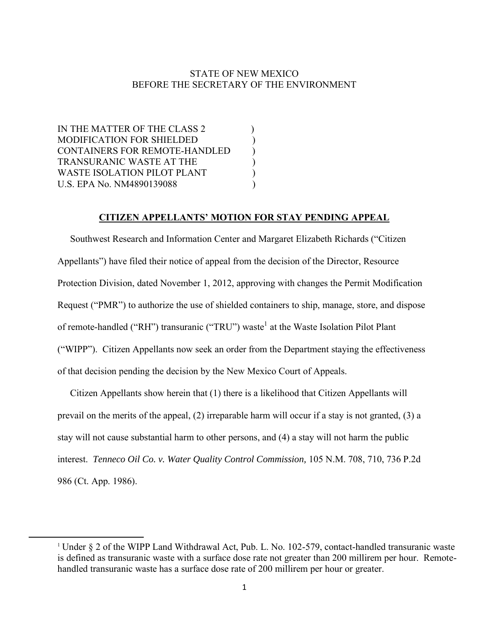# STATE OF NEW MEXICO BEFORE THE SECRETARY OF THE ENVIRONMENT

IN THE MATTER OF THE CLASS 2 MODIFICATION FOR SHIELDED ) CONTAINERS FOR REMOTE-HANDLED ) TRANSURANIC WASTE AT THE ) WASTE ISOLATION PILOT PLANT U.S. EPA No. NM4890139088 )

 $\overline{\phantom{a}}$ 

# **CITIZEN APPELLANTS' MOTION FOR STAY PENDING APPEAL**

 Southwest Research and Information Center and Margaret Elizabeth Richards ("Citizen Appellants") have filed their notice of appeal from the decision of the Director, Resource Protection Division, dated November 1, 2012, approving with changes the Permit Modification Request ("PMR") to authorize the use of shielded containers to ship, manage, store, and dispose of remote-handled ("RH") transuranic ("TRU") waste<sup>1</sup> at the Waste Isolation Pilot Plant ("WIPP"). Citizen Appellants now seek an order from the Department staying the effectiveness of that decision pending the decision by the New Mexico Court of Appeals.

 Citizen Appellants show herein that (1) there is a likelihood that Citizen Appellants will prevail on the merits of the appeal, (2) irreparable harm will occur if a stay is not granted, (3) a stay will not cause substantial harm to other persons, and (4) a stay will not harm the public interest. *Tenneco Oil Co. v. Water Quality Control Commission,* 105 N.M. 708, 710, 736 P.2d 986 (Ct. App. 1986).

<sup>1</sup> Under § 2 of the WIPP Land Withdrawal Act, Pub. L. No. 102-579, contact-handled transuranic waste is defined as transuranic waste with a surface dose rate not greater than 200 millirem per hour. Remotehandled transuranic waste has a surface dose rate of 200 millirem per hour or greater.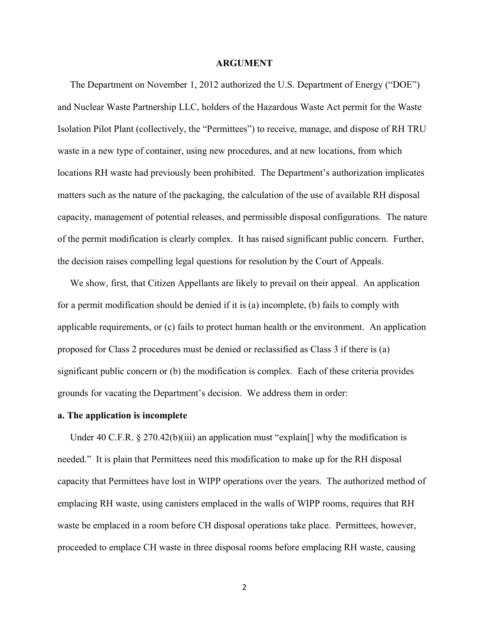#### **ARGUMENT**

 The Department on November 1, 2012 authorized the U.S. Department of Energy ("DOE") and Nuclear Waste Partnership LLC, holders of the Hazardous Waste Act permit for the Waste Isolation Pilot Plant (collectively, the "Permittees") to receive, manage, and dispose of RH TRU waste in a new type of container, using new procedures, and at new locations, from which locations RH waste had previously been prohibited. The Department's authorization implicates matters such as the nature of the packaging, the calculation of the use of available RH disposal capacity, management of potential releases, and permissible disposal configurations. The nature of the permit modification is clearly complex. It has raised significant public concern. Further, the decision raises compelling legal questions for resolution by the Court of Appeals.

We show, first, that Citizen Appellants are likely to prevail on their appeal. An application for a permit modification should be denied if it is (a) incomplete, (b) fails to comply with applicable requirements, or (c) fails to protect human health or the environment. An application proposed for Class 2 procedures must be denied or reclassified as Class 3 if there is (a) significant public concern or (b) the modification is complex. Each of these criteria provides grounds for vacating the Department's decision. We address them in order:

#### **a. The application is incomplete**

Under 40 C.F.R. § 270.42(b)(iii) an application must "explain[] why the modification is needed." It is plain that Permittees need this modification to make up for the RH disposal capacity that Permittees have lost in WIPP operations over the years. The authorized method of emplacing RH waste, using canisters emplaced in the walls of WIPP rooms, requires that RH waste be emplaced in a room before CH disposal operations take place. Permittees, however, proceeded to emplace CH waste in three disposal rooms before emplacing RH waste, causing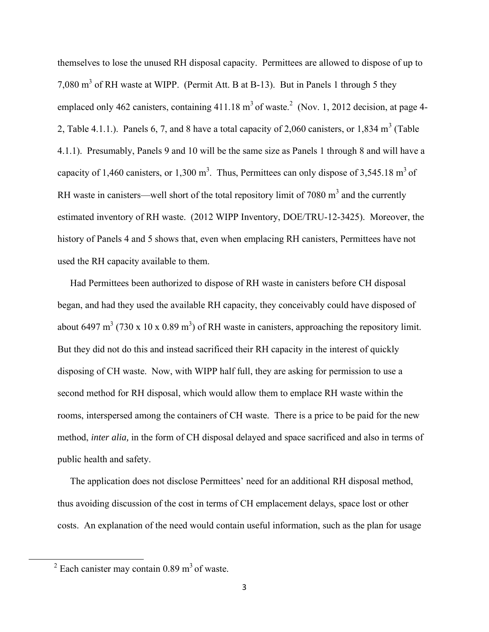themselves to lose the unused RH disposal capacity. Permittees are allowed to dispose of up to 7,080  $m<sup>3</sup>$  of RH waste at WIPP. (Permit Att. B at B-13). But in Panels 1 through 5 they emplaced only 462 canisters, containing  $411.18 \text{ m}^3$  of waste.<sup>2</sup> (Nov. 1, 2012 decision, at page 4-2, Table 4.1.1.). Panels 6, 7, and 8 have a total capacity of 2,060 canisters, or 1,834 m<sup>3</sup> (Table 4.1.1). Presumably, Panels 9 and 10 will be the same size as Panels 1 through 8 and will have a capacity of 1,460 canisters, or 1,300 m<sup>3</sup>. Thus, Permittees can only dispose of 3,545.18 m<sup>3</sup> of RH waste in canisters—well short of the total repository limit of 7080  $m<sup>3</sup>$  and the currently estimated inventory of RH waste. (2012 WIPP Inventory, DOE/TRU-12-3425). Moreover, the history of Panels 4 and 5 shows that, even when emplacing RH canisters, Permittees have not used the RH capacity available to them.

 Had Permittees been authorized to dispose of RH waste in canisters before CH disposal began, and had they used the available RH capacity, they conceivably could have disposed of about 6497 m<sup>3</sup> (730 x 10 x 0.89 m<sup>3</sup>) of RH waste in canisters, approaching the repository limit. But they did not do this and instead sacrificed their RH capacity in the interest of quickly disposing of CH waste. Now, with WIPP half full, they are asking for permission to use a second method for RH disposal, which would allow them to emplace RH waste within the rooms, interspersed among the containers of CH waste. There is a price to be paid for the new method, *inter alia,* in the form of CH disposal delayed and space sacrificed and also in terms of public health and safety.

 The application does not disclose Permittees' need for an additional RH disposal method, thus avoiding discussion of the cost in terms of CH emplacement delays, space lost or other costs. An explanation of the need would contain useful information, such as the plan for usage

 $\overline{\phantom{a}}$ 

 $2^{2}$  Each canister may contain 0.89 m<sup>3</sup> of waste.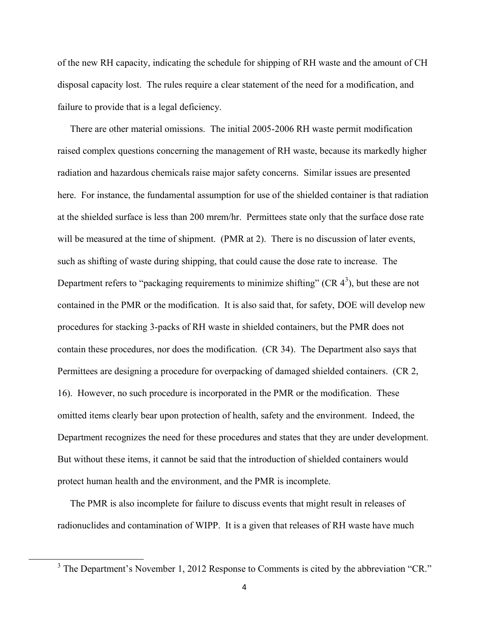of the new RH capacity, indicating the schedule for shipping of RH waste and the amount of CH disposal capacity lost. The rules require a clear statement of the need for a modification, and failure to provide that is a legal deficiency.

 There are other material omissions. The initial 2005-2006 RH waste permit modification raised complex questions concerning the management of RH waste, because its markedly higher radiation and hazardous chemicals raise major safety concerns. Similar issues are presented here. For instance, the fundamental assumption for use of the shielded container is that radiation at the shielded surface is less than 200 mrem/hr. Permittees state only that the surface dose rate will be measured at the time of shipment. (PMR at 2). There is no discussion of later events, such as shifting of waste during shipping, that could cause the dose rate to increase. The Department refers to "packaging requirements to minimize shifting" (CR  $4^3$ ), but these are not contained in the PMR or the modification. It is also said that, for safety, DOE will develop new procedures for stacking 3-packs of RH waste in shielded containers, but the PMR does not contain these procedures, nor does the modification. (CR 34). The Department also says that Permittees are designing a procedure for overpacking of damaged shielded containers. (CR 2, 16). However, no such procedure is incorporated in the PMR or the modification. These omitted items clearly bear upon protection of health, safety and the environment. Indeed, the Department recognizes the need for these procedures and states that they are under development. But without these items, it cannot be said that the introduction of shielded containers would protect human health and the environment, and the PMR is incomplete.

 The PMR is also incomplete for failure to discuss events that might result in releases of radionuclides and contamination of WIPP. It is a given that releases of RH waste have much

 $\overline{\phantom{a}}$ 

 $3$  The Department's November 1, 2012 Response to Comments is cited by the abbreviation "CR."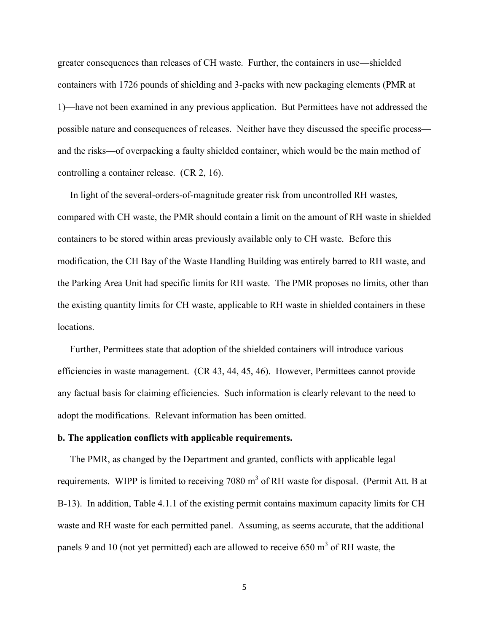greater consequences than releases of CH waste. Further, the containers in use—shielded containers with 1726 pounds of shielding and 3-packs with new packaging elements (PMR at 1)—have not been examined in any previous application. But Permittees have not addressed the possible nature and consequences of releases. Neither have they discussed the specific process and the risks—of overpacking a faulty shielded container, which would be the main method of controlling a container release. (CR 2, 16).

 In light of the several-orders-of-magnitude greater risk from uncontrolled RH wastes, compared with CH waste, the PMR should contain a limit on the amount of RH waste in shielded containers to be stored within areas previously available only to CH waste. Before this modification, the CH Bay of the Waste Handling Building was entirely barred to RH waste, and the Parking Area Unit had specific limits for RH waste. The PMR proposes no limits, other than the existing quantity limits for CH waste, applicable to RH waste in shielded containers in these locations.

 Further, Permittees state that adoption of the shielded containers will introduce various efficiencies in waste management. (CR 43, 44, 45, 46). However, Permittees cannot provide any factual basis for claiming efficiencies. Such information is clearly relevant to the need to adopt the modifications. Relevant information has been omitted.

## **b. The application conflicts with applicable requirements.**

 The PMR, as changed by the Department and granted, conflicts with applicable legal requirements. WIPP is limited to receiving 7080  $m<sup>3</sup>$  of RH waste for disposal. (Permit Att. B at B-13). In addition, Table 4.1.1 of the existing permit contains maximum capacity limits for CH waste and RH waste for each permitted panel. Assuming, as seems accurate, that the additional panels 9 and 10 (not yet permitted) each are allowed to receive 650  $m<sup>3</sup>$  of RH waste, the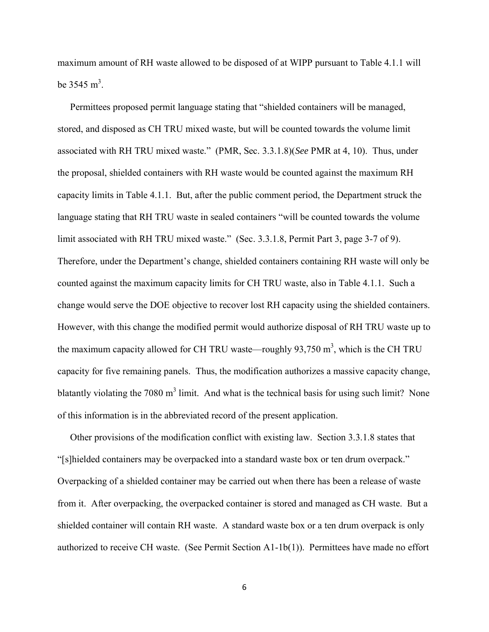maximum amount of RH waste allowed to be disposed of at WIPP pursuant to Table 4.1.1 will be  $3545 \text{ m}^3$ .

 Permittees proposed permit language stating that "shielded containers will be managed, stored, and disposed as CH TRU mixed waste, but will be counted towards the volume limit associated with RH TRU mixed waste." (PMR, Sec. 3.3.1.8)(*See* PMR at 4, 10). Thus, under the proposal, shielded containers with RH waste would be counted against the maximum RH capacity limits in Table 4.1.1. But, after the public comment period, the Department struck the language stating that RH TRU waste in sealed containers "will be counted towards the volume limit associated with RH TRU mixed waste." (Sec. 3.3.1.8, Permit Part 3, page 3-7 of 9). Therefore, under the Department's change, shielded containers containing RH waste will only be counted against the maximum capacity limits for CH TRU waste, also in Table 4.1.1. Such a change would serve the DOE objective to recover lost RH capacity using the shielded containers. However, with this change the modified permit would authorize disposal of RH TRU waste up to the maximum capacity allowed for CH TRU waste—roughly  $93,750$  m<sup>3</sup>, which is the CH TRU capacity for five remaining panels. Thus, the modification authorizes a massive capacity change, blatantly violating the 7080  $m<sup>3</sup>$  limit. And what is the technical basis for using such limit? None of this information is in the abbreviated record of the present application.

 Other provisions of the modification conflict with existing law. Section 3.3.1.8 states that "[s]hielded containers may be overpacked into a standard waste box or ten drum overpack." Overpacking of a shielded container may be carried out when there has been a release of waste from it. After overpacking, the overpacked container is stored and managed as CH waste. But a shielded container will contain RH waste. A standard waste box or a ten drum overpack is only authorized to receive CH waste. (See Permit Section A1-1b(1)). Permittees have made no effort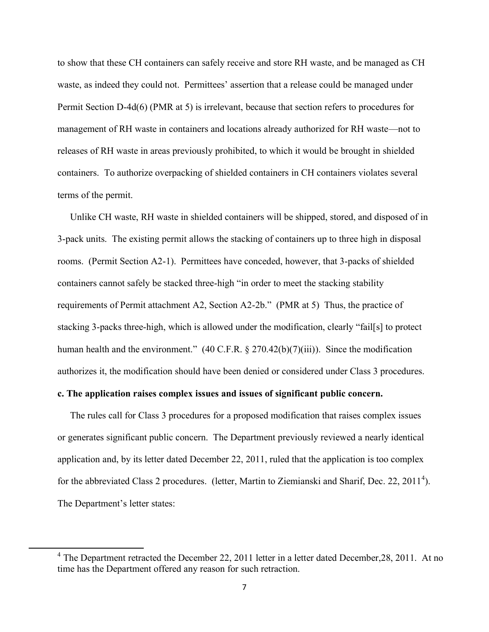to show that these CH containers can safely receive and store RH waste, and be managed as CH waste, as indeed they could not. Permittees' assertion that a release could be managed under Permit Section D-4d(6) (PMR at 5) is irrelevant, because that section refers to procedures for management of RH waste in containers and locations already authorized for RH waste—not to releases of RH waste in areas previously prohibited, to which it would be brought in shielded containers. To authorize overpacking of shielded containers in CH containers violates several terms of the permit.

 Unlike CH waste, RH waste in shielded containers will be shipped, stored, and disposed of in 3-pack units. The existing permit allows the stacking of containers up to three high in disposal rooms. (Permit Section A2-1). Permittees have conceded, however, that 3-packs of shielded containers cannot safely be stacked three-high "in order to meet the stacking stability requirements of Permit attachment A2, Section A2-2b." (PMR at 5) Thus, the practice of stacking 3-packs three-high, which is allowed under the modification, clearly "fail[s] to protect human health and the environment." (40 C.F.R. § 270.42(b)(7)(iii)). Since the modification authorizes it, the modification should have been denied or considered under Class 3 procedures.

# **c. The application raises complex issues and issues of significant public concern.**

 $\overline{\phantom{a}}$ 

The rules call for Class 3 procedures for a proposed modification that raises complex issues or generates significant public concern. The Department previously reviewed a nearly identical application and, by its letter dated December 22, 2011, ruled that the application is too complex for the abbreviated Class 2 procedures. (letter, Martin to Ziemianski and Sharif, Dec. 22, 2011<sup>4</sup>). The Department's letter states:

 $4$  The Department retracted the December 22, 2011 letter in a letter dated December, 28, 2011. At no time has the Department offered any reason for such retraction.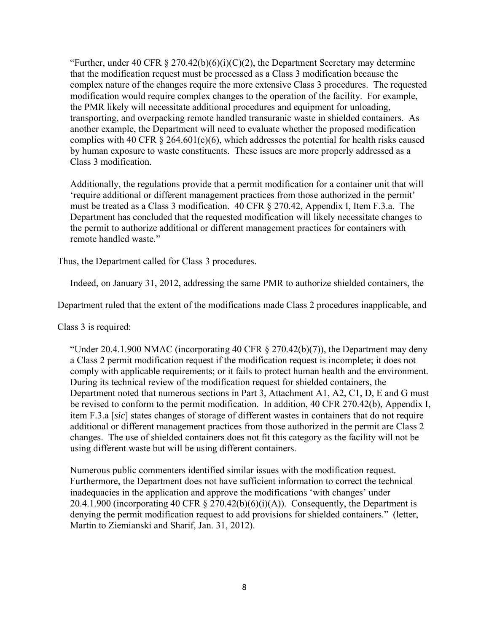"Further, under 40 CFR  $\S 270.42(b)(6)(i)(C)(2)$ , the Department Secretary may determine that the modification request must be processed as a Class 3 modification because the complex nature of the changes require the more extensive Class 3 procedures. The requested modification would require complex changes to the operation of the facility. For example, the PMR likely will necessitate additional procedures and equipment for unloading, transporting, and overpacking remote handled transuranic waste in shielded containers. As another example, the Department will need to evaluate whether the proposed modification complies with 40 CFR  $\S$  264.601(c)(6), which addresses the potential for health risks caused by human exposure to waste constituents. These issues are more properly addressed as a Class 3 modification.

Additionally, the regulations provide that a permit modification for a container unit that will 'require additional or different management practices from those authorized in the permit' must be treated as a Class 3 modification. 40 CFR § 270.42, Appendix I, Item F.3.a. The Department has concluded that the requested modification will likely necessitate changes to the permit to authorize additional or different management practices for containers with remote handled waste."

Thus, the Department called for Class 3 procedures.

Indeed, on January 31, 2012, addressing the same PMR to authorize shielded containers, the

Department ruled that the extent of the modifications made Class 2 procedures inapplicable, and

Class 3 is required:

"Under 20.4.1.900 NMAC (incorporating 40 CFR  $\S 270.42(b)(7)$ ), the Department may deny a Class 2 permit modification request if the modification request is incomplete; it does not comply with applicable requirements; or it fails to protect human health and the environment. During its technical review of the modification request for shielded containers, the Department noted that numerous sections in Part 3, Attachment A1, A2, C1, D, E and G must be revised to conform to the permit modification. In addition, 40 CFR 270.42(b), Appendix I, item F.3.a [*sic*] states changes of storage of different wastes in containers that do not require additional or different management practices from those authorized in the permit are Class 2 changes. The use of shielded containers does not fit this category as the facility will not be using different waste but will be using different containers.

Numerous public commenters identified similar issues with the modification request. Furthermore, the Department does not have sufficient information to correct the technical inadequacies in the application and approve the modifications 'with changes' under 20.4.1.900 (incorporating 40 CFR  $\S$  270.42(b)(6)(i)(A)). Consequently, the Department is denying the permit modification request to add provisions for shielded containers." (letter, Martin to Ziemianski and Sharif, Jan. 31, 2012).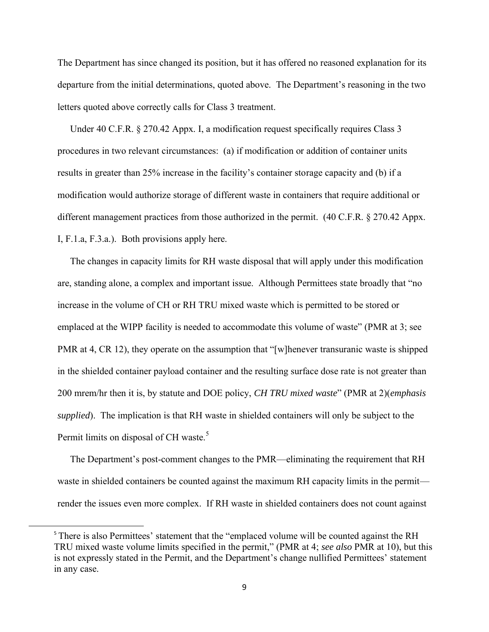The Department has since changed its position, but it has offered no reasoned explanation for its departure from the initial determinations, quoted above. The Department's reasoning in the two letters quoted above correctly calls for Class 3 treatment.

 Under 40 C.F.R. § 270.42 Appx. I, a modification request specifically requires Class 3 procedures in two relevant circumstances: (a) if modification or addition of container units results in greater than 25% increase in the facility's container storage capacity and (b) if a modification would authorize storage of different waste in containers that require additional or different management practices from those authorized in the permit. (40 C.F.R. § 270.42 Appx. I, F.1.a, F.3.a.). Both provisions apply here.

 The changes in capacity limits for RH waste disposal that will apply under this modification are, standing alone, a complex and important issue. Although Permittees state broadly that "no increase in the volume of CH or RH TRU mixed waste which is permitted to be stored or emplaced at the WIPP facility is needed to accommodate this volume of waste" (PMR at 3; see PMR at 4, CR 12), they operate on the assumption that "[w] henever transuranic waste is shipped in the shielded container payload container and the resulting surface dose rate is not greater than 200 mrem/hr then it is, by statute and DOE policy, *CH TRU mixed waste*" (PMR at 2)(*emphasis supplied*). The implication is that RH waste in shielded containers will only be subject to the Permit limits on disposal of CH waste.<sup>5</sup>

 The Department's post-comment changes to the PMR—eliminating the requirement that RH waste in shielded containers be counted against the maximum RH capacity limits in the permit render the issues even more complex. If RH waste in shielded containers does not count against

 $\overline{\phantom{a}}$ 

<sup>&</sup>lt;sup>5</sup> There is also Permittees' statement that the "emplaced volume will be counted against the RH TRU mixed waste volume limits specified in the permit," (PMR at 4; *see also* PMR at 10), but this is not expressly stated in the Permit, and the Department's change nullified Permittees' statement in any case.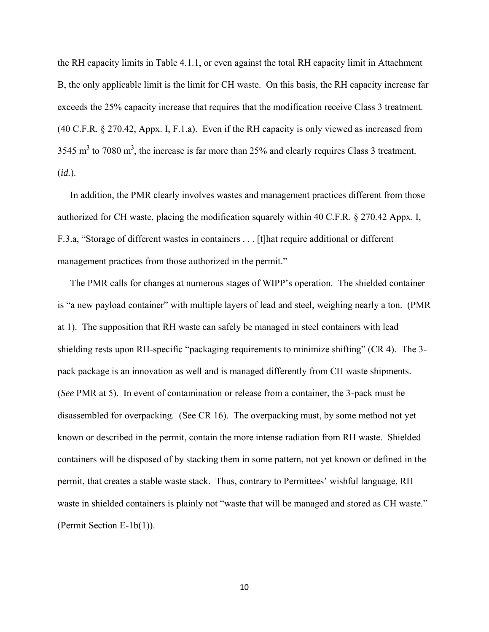the RH capacity limits in Table 4.1.1, or even against the total RH capacity limit in Attachment B, the only applicable limit is the limit for CH waste. On this basis, the RH capacity increase far exceeds the 25% capacity increase that requires that the modification receive Class 3 treatment. (40 C.F.R. § 270.42, Appx. I, F.1.a). Even if the RH capacity is only viewed as increased from 3545 m<sup>3</sup> to 7080 m<sup>3</sup>, the increase is far more than 25% and clearly requires Class 3 treatment. (*id.*).

 In addition, the PMR clearly involves wastes and management practices different from those authorized for CH waste, placing the modification squarely within 40 C.F.R. § 270.42 Appx. I, F.3.a, "Storage of different wastes in containers . . . [t]hat require additional or different management practices from those authorized in the permit."

 The PMR calls for changes at numerous stages of WIPP's operation. The shielded container is "a new payload container" with multiple layers of lead and steel, weighing nearly a ton. (PMR at 1). The supposition that RH waste can safely be managed in steel containers with lead shielding rests upon RH-specific "packaging requirements to minimize shifting" (CR 4). The 3 pack package is an innovation as well and is managed differently from CH waste shipments. (*See* PMR at 5). In event of contamination or release from a container, the 3-pack must be disassembled for overpacking. (See CR 16). The overpacking must, by some method not yet known or described in the permit, contain the more intense radiation from RH waste. Shielded containers will be disposed of by stacking them in some pattern, not yet known or defined in the permit, that creates a stable waste stack. Thus, contrary to Permittees' wishful language, RH waste in shielded containers is plainly not "waste that will be managed and stored as CH waste." (Permit Section E-1b(1)).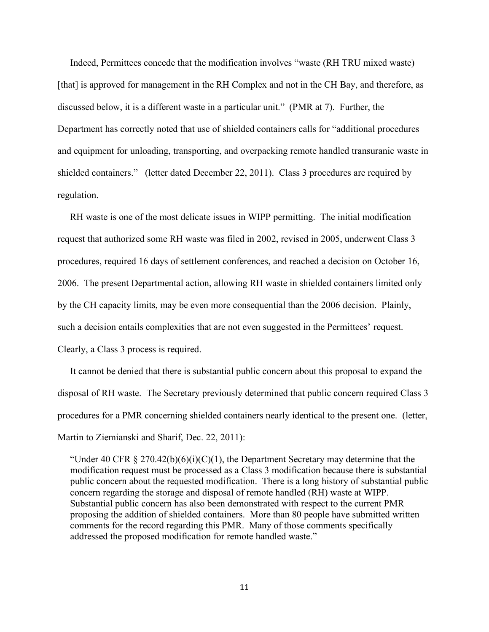Indeed, Permittees concede that the modification involves "waste (RH TRU mixed waste) [that] is approved for management in the RH Complex and not in the CH Bay, and therefore, as discussed below, it is a different waste in a particular unit." (PMR at 7). Further, the Department has correctly noted that use of shielded containers calls for "additional procedures and equipment for unloading, transporting, and overpacking remote handled transuranic waste in shielded containers." (letter dated December 22, 2011). Class 3 procedures are required by regulation.

 RH waste is one of the most delicate issues in WIPP permitting. The initial modification request that authorized some RH waste was filed in 2002, revised in 2005, underwent Class 3 procedures, required 16 days of settlement conferences, and reached a decision on October 16, 2006. The present Departmental action, allowing RH waste in shielded containers limited only by the CH capacity limits, may be even more consequential than the 2006 decision. Plainly, such a decision entails complexities that are not even suggested in the Permittees' request. Clearly, a Class 3 process is required.

 It cannot be denied that there is substantial public concern about this proposal to expand the disposal of RH waste. The Secretary previously determined that public concern required Class 3 procedures for a PMR concerning shielded containers nearly identical to the present one. (letter, Martin to Ziemianski and Sharif, Dec. 22, 2011):

"Under 40 CFR  $\S 270.42(b)(6)(i)(C)(1)$ , the Department Secretary may determine that the modification request must be processed as a Class 3 modification because there is substantial public concern about the requested modification. There is a long history of substantial public concern regarding the storage and disposal of remote handled (RH) waste at WIPP. Substantial public concern has also been demonstrated with respect to the current PMR proposing the addition of shielded containers. More than 80 people have submitted written comments for the record regarding this PMR. Many of those comments specifically addressed the proposed modification for remote handled waste."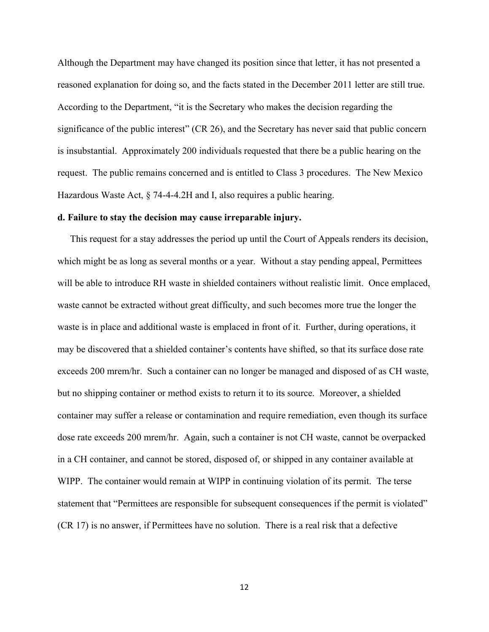Although the Department may have changed its position since that letter, it has not presented a reasoned explanation for doing so, and the facts stated in the December 2011 letter are still true. According to the Department, "it is the Secretary who makes the decision regarding the significance of the public interest" (CR 26), and the Secretary has never said that public concern is insubstantial. Approximately 200 individuals requested that there be a public hearing on the request. The public remains concerned and is entitled to Class 3 procedures. The New Mexico Hazardous Waste Act, § 74-4-4.2H and I, also requires a public hearing.

#### **d. Failure to stay the decision may cause irreparable injury.**

This request for a stay addresses the period up until the Court of Appeals renders its decision, which might be as long as several months or a year. Without a stay pending appeal, Permittees will be able to introduce RH waste in shielded containers without realistic limit. Once emplaced, waste cannot be extracted without great difficulty, and such becomes more true the longer the waste is in place and additional waste is emplaced in front of it. Further, during operations, it may be discovered that a shielded container's contents have shifted, so that its surface dose rate exceeds 200 mrem/hr. Such a container can no longer be managed and disposed of as CH waste, but no shipping container or method exists to return it to its source. Moreover, a shielded container may suffer a release or contamination and require remediation, even though its surface dose rate exceeds 200 mrem/hr. Again, such a container is not CH waste, cannot be overpacked in a CH container, and cannot be stored, disposed of, or shipped in any container available at WIPP. The container would remain at WIPP in continuing violation of its permit. The terse statement that "Permittees are responsible for subsequent consequences if the permit is violated" (CR 17) is no answer, if Permittees have no solution. There is a real risk that a defective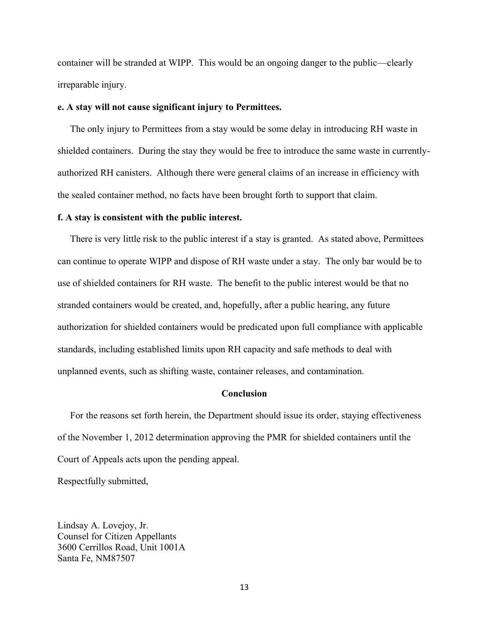container will be stranded at WIPP. This would be an ongoing danger to the public—clearly irreparable injury.

## **e. A stay will not cause significant injury to Permittees.**

The only injury to Permittees from a stay would be some delay in introducing RH waste in shielded containers. During the stay they would be free to introduce the same waste in currentlyauthorized RH canisters. Although there were general claims of an increase in efficiency with the sealed container method, no facts have been brought forth to support that claim.

## **f. A stay is consistent with the public interest.**

 There is very little risk to the public interest if a stay is granted. As stated above, Permittees can continue to operate WIPP and dispose of RH waste under a stay. The only bar would be to use of shielded containers for RH waste. The benefit to the public interest would be that no stranded containers would be created, and, hopefully, after a public hearing, any future authorization for shielded containers would be predicated upon full compliance with applicable standards, including established limits upon RH capacity and safe methods to deal with unplanned events, such as shifting waste, container releases, and contamination.

## **Conclusion**

 For the reasons set forth herein, the Department should issue its order, staying effectiveness of the November 1, 2012 determination approving the PMR for shielded containers until the Court of Appeals acts upon the pending appeal.

Respectfully submitted,

Lindsay A. Lovejoy, Jr. Counsel for Citizen Appellants 3600 Cerrillos Road, Unit 1001A Santa Fe, NM87507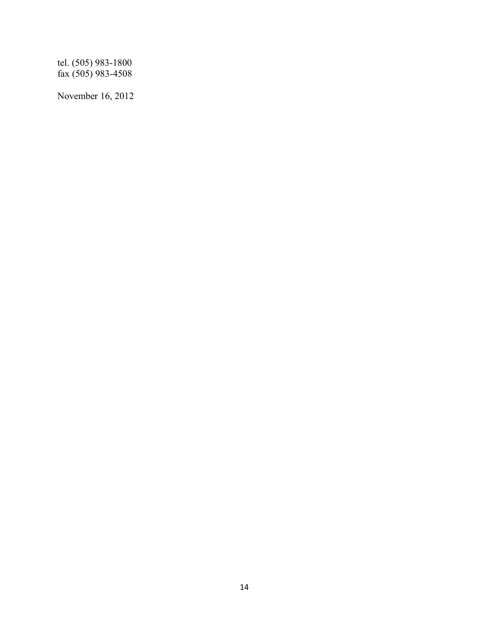tel. (505) 983-1800 fax (505) 983-4508

November 16, 2012